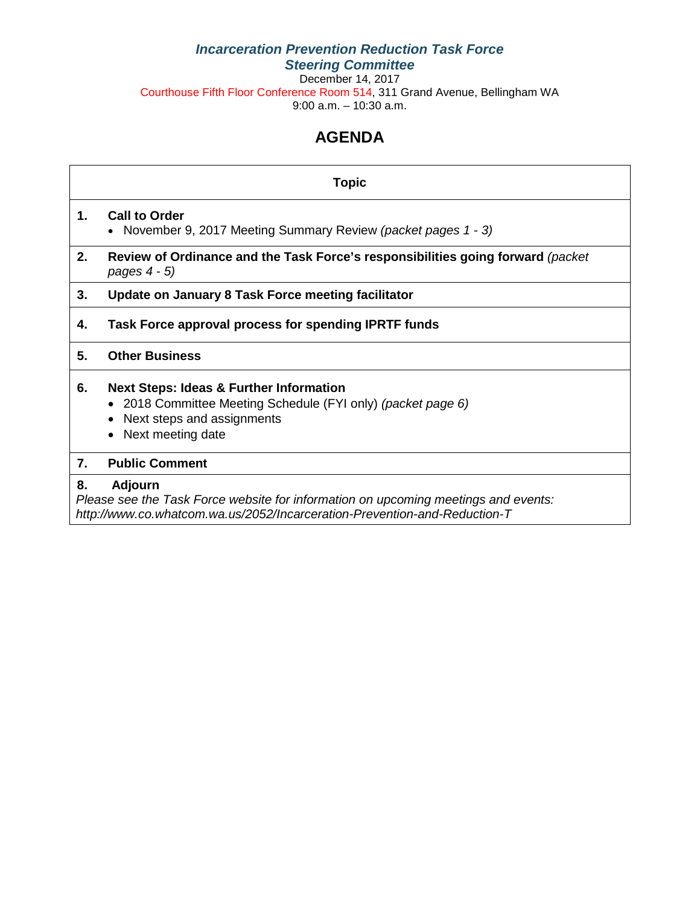## *Incarceration Prevention Reduction Task Force Steering Committee*

December 14, 2017 Courthouse Fifth Floor Conference Room 514, 311 Grand Avenue, Bellingham WA 9:00 a.m. – 10:30 a.m.

## **AGENDA**

## **Topic**

## **1. Call to Order**

- November 9, 2017 Meeting Summary Review *(packet pages 1 - 3)*
- **2. Review of Ordinance and the Task Force's responsibilities going forward** *(packet pages 4 - 5)*

## **3. Update on January 8 Task Force meeting facilitator**

**4. Task Force approval process for spending IPRTF funds** 

## **5. Other Business**

### **6. Next Steps: Ideas & Further Information**

- 2018 Committee Meeting Schedule (FYI only) *(packet page 6)*
- Next steps and assignments
- Next meeting date

#### **7. Public Comment**

### **8. Adjourn**

*Please see the Task Force website for information on upcoming meetings and events: http://www.co.whatcom.wa.us/2052/Incarceration-Prevention-and-Reduction-T*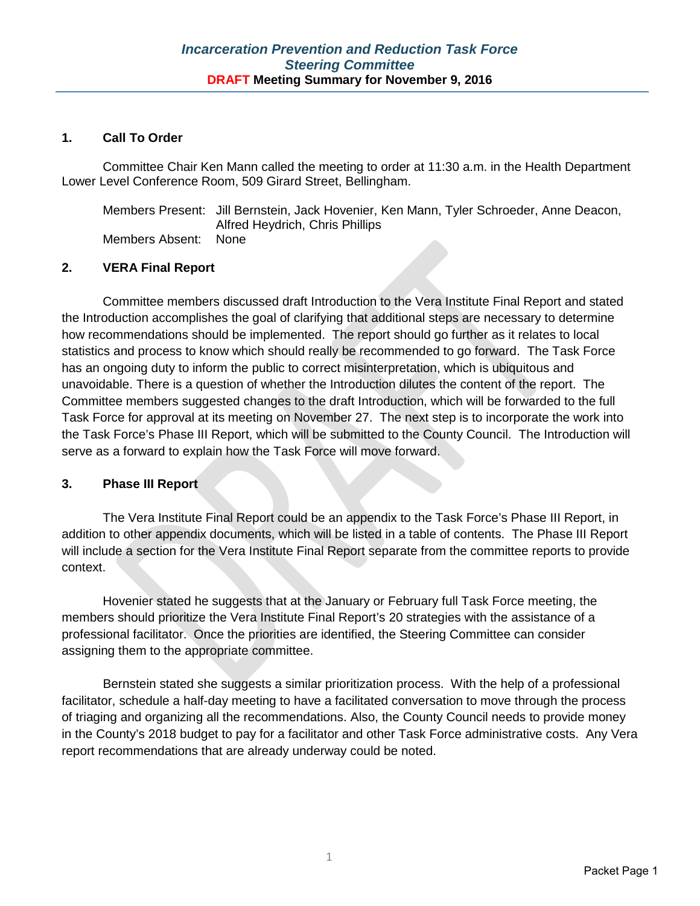### **1. Call To Order**

Committee Chair Ken Mann called the meeting to order at 11:30 a.m. in the Health Department Lower Level Conference Room, 509 Girard Street, Bellingham.

Members Present: Jill Bernstein, Jack Hovenier, Ken Mann, Tyler Schroeder, Anne Deacon, Alfred Heydrich, Chris Phillips Members Absent: None

### **2. VERA Final Report**

Committee members discussed draft Introduction to the Vera Institute Final Report and stated the Introduction accomplishes the goal of clarifying that additional steps are necessary to determine how recommendations should be implemented. The report should go further as it relates to local statistics and process to know which should really be recommended to go forward. The Task Force has an ongoing duty to inform the public to correct misinterpretation, which is ubiquitous and unavoidable. There is a question of whether the Introduction dilutes the content of the report. The Committee members suggested changes to the draft Introduction, which will be forwarded to the full Task Force for approval at its meeting on November 27. The next step is to incorporate the work into the Task Force's Phase III Report, which will be submitted to the County Council. The Introduction will serve as a forward to explain how the Task Force will move forward.

#### **3. Phase III Report**

The Vera Institute Final Report could be an appendix to the Task Force's Phase III Report, in addition to other appendix documents, which will be listed in a table of contents. The Phase III Report will include a section for the Vera Institute Final Report separate from the committee reports to provide context.

Hovenier stated he suggests that at the January or February full Task Force meeting, the members should prioritize the Vera Institute Final Report's 20 strategies with the assistance of a professional facilitator. Once the priorities are identified, the Steering Committee can consider assigning them to the appropriate committee.

Bernstein stated she suggests a similar prioritization process. With the help of a professional facilitator, schedule a half-day meeting to have a facilitated conversation to move through the process of triaging and organizing all the recommendations. Also, the County Council needs to provide money in the County's 2018 budget to pay for a facilitator and other Task Force administrative costs. Any Vera report recommendations that are already underway could be noted.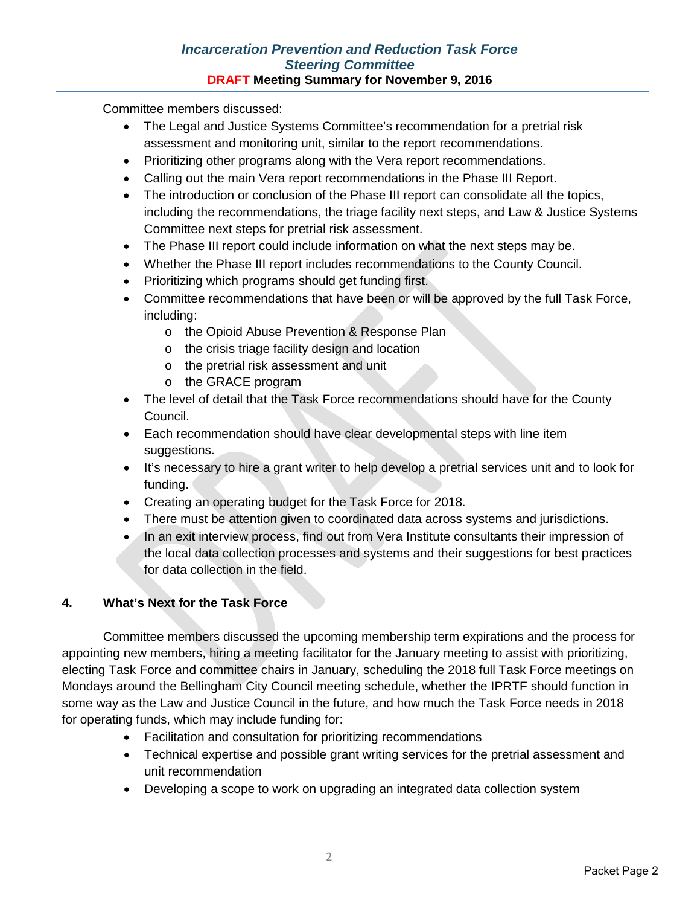## *Incarceration Prevention and Reduction Task Force Steering Committee* **DRAFT Meeting Summary for November 9, 2016**

Committee members discussed:

- The Legal and Justice Systems Committee's recommendation for a pretrial risk assessment and monitoring unit, similar to the report recommendations.
- Prioritizing other programs along with the Vera report recommendations.
- Calling out the main Vera report recommendations in the Phase III Report.
- The introduction or conclusion of the Phase III report can consolidate all the topics, including the recommendations, the triage facility next steps, and Law & Justice Systems Committee next steps for pretrial risk assessment.
- The Phase III report could include information on what the next steps may be.
- Whether the Phase III report includes recommendations to the County Council.
- Prioritizing which programs should get funding first.
- Committee recommendations that have been or will be approved by the full Task Force, including:
	- o the Opioid Abuse Prevention & Response Plan
	- o the crisis triage facility design and location
	- o the pretrial risk assessment and unit
	- o the GRACE program
- The level of detail that the Task Force recommendations should have for the County Council.
- Each recommendation should have clear developmental steps with line item suggestions.
- It's necessary to hire a grant writer to help develop a pretrial services unit and to look for funding.
- Creating an operating budget for the Task Force for 2018.
- There must be attention given to coordinated data across systems and jurisdictions.
- In an exit interview process, find out from Vera Institute consultants their impression of the local data collection processes and systems and their suggestions for best practices for data collection in the field.

## **4. What's Next for the Task Force**

Committee members discussed the upcoming membership term expirations and the process for appointing new members, hiring a meeting facilitator for the January meeting to assist with prioritizing, electing Task Force and committee chairs in January, scheduling the 2018 full Task Force meetings on Mondays around the Bellingham City Council meeting schedule, whether the IPRTF should function in some way as the Law and Justice Council in the future, and how much the Task Force needs in 2018 for operating funds, which may include funding for:

- Facilitation and consultation for prioritizing recommendations
- Technical expertise and possible grant writing services for the pretrial assessment and unit recommendation
- Developing a scope to work on upgrading an integrated data collection system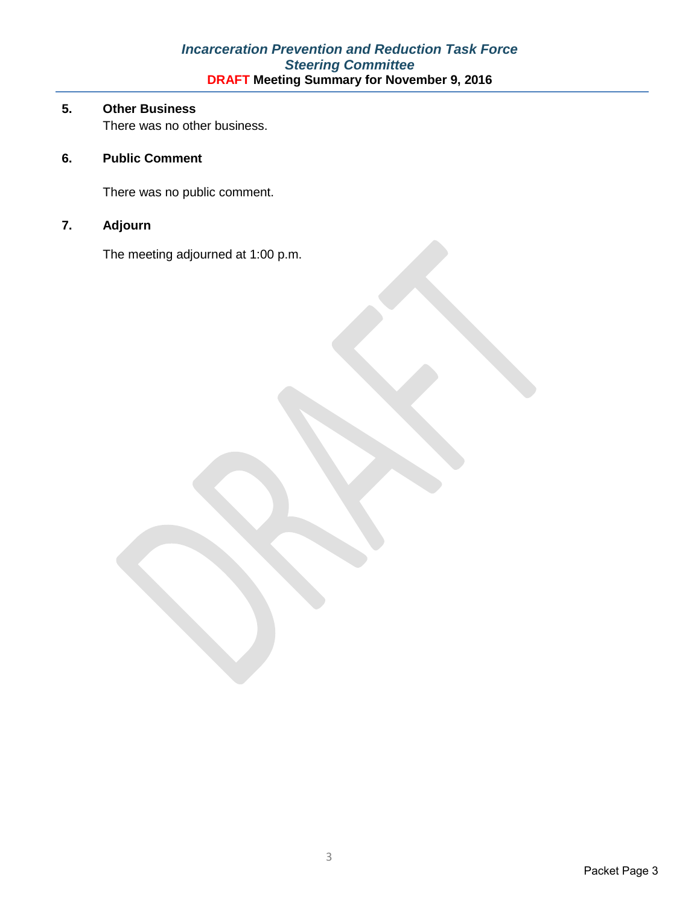## *Incarceration Prevention and Reduction Task Force Steering Committee* **DRAFT Meeting Summary for November 9, 2016**

## **5. Other Business**

There was no other business.

## **6. Public Comment**

There was no public comment.

## **7. Adjourn**

The meeting adjourned at 1:00 p.m.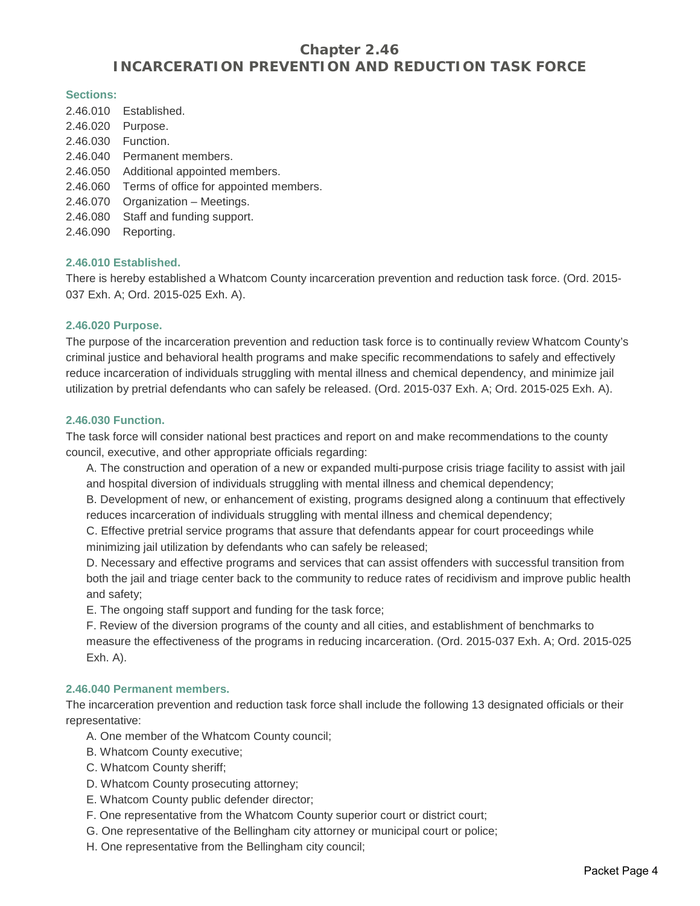## **Chapter 2.46 INCARCERATION PREVENTION AND REDUCTION TASK FORCE**

#### **Sections:**

| 2.46.010 | Established.                           |
|----------|----------------------------------------|
| 2.46.020 | Purpose.                               |
| 2.46.030 | Function.                              |
| 2.46.040 | Permanent members.                     |
| 2.46.050 | Additional appointed members.          |
| 2.46.060 | Terms of office for appointed members. |
| 2.46.070 | Organization - Meetings.               |
| 2.46.080 | Staff and funding support.             |
| 2.46.090 | Reporting.                             |

#### **2.46.010 Established.**

There is hereby established a Whatcom County incarceration prevention and reduction task force. (Ord. 2015- 037 Exh. A; Ord. 2015-025 Exh. A).

#### **2.46.020 Purpose.**

The purpose of the incarceration prevention and reduction task force is to continually review Whatcom County's criminal justice and behavioral health programs and make specific recommendations to safely and effectively reduce incarceration of individuals struggling with mental illness and chemical dependency, and minimize jail utilization by pretrial defendants who can safely be released. (Ord. 2015-037 Exh. A; Ord. 2015-025 Exh. A).

#### **2.46.030 Function.**

The task force will consider national best practices and report on and make recommendations to the county council, executive, and other appropriate officials regarding:

A. The construction and operation of a new or expanded multi-purpose crisis triage facility to assist with jail and hospital diversion of individuals struggling with mental illness and chemical dependency;

B. Development of new, or enhancement of existing, programs designed along a continuum that effectively reduces incarceration of individuals struggling with mental illness and chemical dependency;

C. Effective pretrial service programs that assure that defendants appear for court proceedings while minimizing jail utilization by defendants who can safely be released;

D. Necessary and effective programs and services that can assist offenders with successful transition from both the jail and triage center back to the community to reduce rates of recidivism and improve public health and safety;

E. The ongoing staff support and funding for the task force;

F. Review of the diversion programs of the county and all cities, and establishment of benchmarks to measure the effectiveness of the programs in reducing incarceration. (Ord. 2015-037 Exh. A; Ord. 2015-025 Exh. A).

#### **2.46.040 Permanent members.**

The incarceration prevention and reduction task force shall include the following 13 designated officials or their representative:

A. One member of the Whatcom County council;

- B. Whatcom County executive;
- C. Whatcom County sheriff;
- D. Whatcom County prosecuting attorney;
- E. Whatcom County public defender director;
- F. One representative from the Whatcom County superior court or district court;
- G. One representative of the Bellingham city attorney or municipal court or police;
- H. One representative from the Bellingham city council;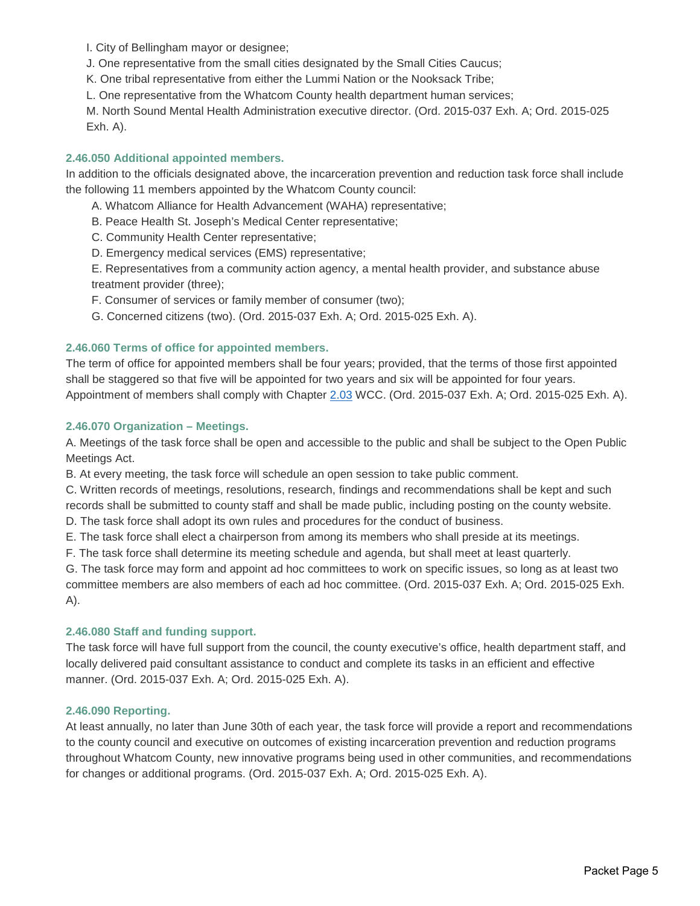I. City of Bellingham mayor or designee;

J. One representative from the small cities designated by the Small Cities Caucus;

K. One tribal representative from either the Lummi Nation or the Nooksack Tribe;

L. One representative from the Whatcom County health department human services;

M. North Sound Mental Health Administration executive director. (Ord. 2015-037 Exh. A; Ord. 2015-025 Exh. A).

#### **2.46.050 Additional appointed members.**

In addition to the officials designated above, the incarceration prevention and reduction task force shall include the following 11 members appointed by the Whatcom County council:

A. Whatcom Alliance for Health Advancement (WAHA) representative;

B. Peace Health St. Joseph's Medical Center representative;

C. Community Health Center representative;

D. Emergency medical services (EMS) representative;

E. Representatives from a community action agency, a mental health provider, and substance abuse treatment provider (three);

F. Consumer of services or family member of consumer (two);

G. Concerned citizens (two). (Ord. 2015-037 Exh. A; Ord. 2015-025 Exh. A).

#### **2.46.060 Terms of office for appointed members.**

The term of office for appointed members shall be four years; provided, that the terms of those first appointed shall be staggered so that five will be appointed for two years and six will be appointed for four years. Appointment of members shall comply with Chapter [2.03](http://www.codepublishing.com/WA/WhatcomCounty/%23!/WhatcomCounty02/WhatcomCounty0203.html%232.03) WCC. (Ord. 2015-037 Exh. A; Ord. 2015-025 Exh. A).

#### **2.46.070 Organization – Meetings.**

A. Meetings of the task force shall be open and accessible to the public and shall be subject to the Open Public Meetings Act.

B. At every meeting, the task force will schedule an open session to take public comment.

C. Written records of meetings, resolutions, research, findings and recommendations shall be kept and such records shall be submitted to county staff and shall be made public, including posting on the county website.

D. The task force shall adopt its own rules and procedures for the conduct of business.

E. The task force shall elect a chairperson from among its members who shall preside at its meetings.

F. The task force shall determine its meeting schedule and agenda, but shall meet at least quarterly.

G. The task force may form and appoint ad hoc committees to work on specific issues, so long as at least two committee members are also members of each ad hoc committee. (Ord. 2015-037 Exh. A; Ord. 2015-025 Exh. A).

#### **2.46.080 Staff and funding support.**

The task force will have full support from the council, the county executive's office, health department staff, and locally delivered paid consultant assistance to conduct and complete its tasks in an efficient and effective manner. (Ord. 2015-037 Exh. A; Ord. 2015-025 Exh. A).

#### **2.46.090 Reporting.**

At least annually, no later than June 30th of each year, the task force will provide a report and recommendations to the county council and executive on outcomes of existing incarceration prevention and reduction programs throughout Whatcom County, new innovative programs being used in other communities, and recommendations for changes or additional programs. (Ord. 2015-037 Exh. A; Ord. 2015-025 Exh. A).